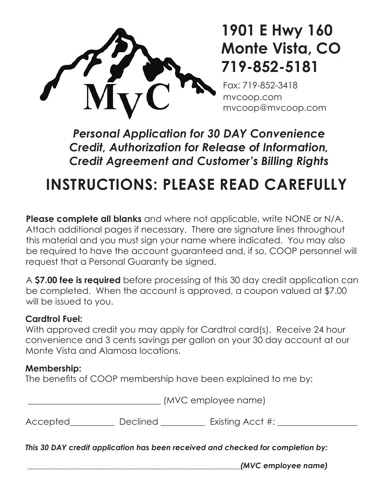

## **1901 E Hwy 160 Monte Vista, CO 719-852-5181**

Fax: 719-852-3418 mvcoop.com mvcoop@mvcoop.com

*Personal Application for 30 DAY Convenience Credit, Authorization for Release of Information, Credit Agreement and Customer's Billing Rights*

# **INSTRUCTIONS: PLEASE READ CAREFULLY**

**Please complete all blanks** and where not applicable, write NONE or N/A. Attach additional pages if necessary. There are signature lines throughout this material and you must sign your name where indicated. You may also be required to have the account guaranteed and, if so, COOP personnel will request that a Personal Guaranty be signed.

A **\$7.00 fee is required** before processing of this 30 day credit application can be completed. When the account is approved, a coupon valued at \$7.00 will be issued to you.

### **Cardtrol Fuel:**

With approved credit you may apply for Cardtrol card(s). Receive 24 hour convenience and 3 cents savings per gallon on your 30 day account at our Monte Vista and Alamosa locations.

### **Membership:**

The benefits of COOP membership have been explained to me by:

\_\_\_\_\_\_\_\_\_\_\_\_\_\_\_\_\_\_\_\_\_\_\_\_\_\_\_\_\_\_ (MVC employee name)

Accepted Declined Existing Acct #:

*This 30 DAY credit application has been received and checked for completion by:*

 *\_\_\_\_\_\_\_\_\_\_\_\_\_\_\_\_\_\_\_\_\_\_\_\_\_\_\_\_\_\_\_\_\_\_\_\_\_\_\_\_\_\_\_\_\_\_\_\_\_\_\_\_\_\_\_\_(MVC employee name)*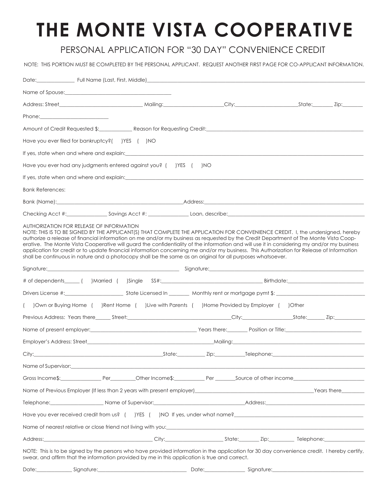# **THE MONTE VISTA COOPERATIVE**

#### PERSONAL APPLICATION FOR "30 DAY" CONVENIENCE CREDIT

NOTE: THIS PORTION MUST BE COMPLETED BY THE PERSONAL APPLICANT. REQUEST ANOTHER FIRST PAGE FOR CO-APPLICANT INFORMATION.

| Phone: Phone Phone Phone Phone Phone Phone Phone Phone Phone Phone Phone Phone Phone Phone Phone Phone Phone Phone Phone Phone Phone Phone Phone Phone Phone Phone Phone Phone Phone Phone Phone Phone Phone Phone Phone Phone                                                                                                                                                                                                                                                                                                                                                                                                                                                                                                 |  |  |  |
|--------------------------------------------------------------------------------------------------------------------------------------------------------------------------------------------------------------------------------------------------------------------------------------------------------------------------------------------------------------------------------------------------------------------------------------------------------------------------------------------------------------------------------------------------------------------------------------------------------------------------------------------------------------------------------------------------------------------------------|--|--|--|
| Amount of Credit Requested \$: Reason for Requesting Credit: Network and Credit Amount of Credit Requested \$:                                                                                                                                                                                                                                                                                                                                                                                                                                                                                                                                                                                                                 |  |  |  |
| Have you ever filed for bankruptcy?( )YES ( )NO                                                                                                                                                                                                                                                                                                                                                                                                                                                                                                                                                                                                                                                                                |  |  |  |
| If yes, state when and where and explain: example and explaint and the state of the state of the state of the state of the state of the state of the state of the state of the state of the state of the state of the state of                                                                                                                                                                                                                                                                                                                                                                                                                                                                                                 |  |  |  |
| Have you ever had any judgments entered against you? ( ) YES ( ) NO                                                                                                                                                                                                                                                                                                                                                                                                                                                                                                                                                                                                                                                            |  |  |  |
| If yes, state when and where and explain: explaining the state of the state of the state of the state of the state of the state of the state of the state of the state of the state of the state of the state of the state of                                                                                                                                                                                                                                                                                                                                                                                                                                                                                                  |  |  |  |
| <b>Bank References:</b>                                                                                                                                                                                                                                                                                                                                                                                                                                                                                                                                                                                                                                                                                                        |  |  |  |
|                                                                                                                                                                                                                                                                                                                                                                                                                                                                                                                                                                                                                                                                                                                                |  |  |  |
|                                                                                                                                                                                                                                                                                                                                                                                                                                                                                                                                                                                                                                                                                                                                |  |  |  |
| AUTHORIZATION FOR RELEASE OF INFORMATION<br>NOTE: THIS IS TO BE SIGNED BY THE APPLICANT(S) THAT COMPLETE THE APPLICATION FOR CONVENIENCE CREDIT. I, the undersigned, hereby<br>authorize a release of financial information on me and/or my business as requested by the Credit Department of The Monte Vista Coop-<br>erative. The Monte Vista Cooperative will guard the confidentiality of the information and will use it in considering my and/or my business<br>application for credit or to update financial information concerning me and/or my business. This Authorization for Release of Information<br>shall be continuous in nature and a photocopy shall be the same as an original for all purposes whatsoever. |  |  |  |
| Signature: et al. 2010 and 2010 and 2010 and 2010 and 2010 and 2010 and 2010 and 2010 and 2010 and 2010 and 20                                                                                                                                                                                                                                                                                                                                                                                                                                                                                                                                                                                                                 |  |  |  |
|                                                                                                                                                                                                                                                                                                                                                                                                                                                                                                                                                                                                                                                                                                                                |  |  |  |
|                                                                                                                                                                                                                                                                                                                                                                                                                                                                                                                                                                                                                                                                                                                                |  |  |  |
| () Own or Buying Home () Rent Home () Live with Parents () Home Provided by Employer () Other                                                                                                                                                                                                                                                                                                                                                                                                                                                                                                                                                                                                                                  |  |  |  |
|                                                                                                                                                                                                                                                                                                                                                                                                                                                                                                                                                                                                                                                                                                                                |  |  |  |
|                                                                                                                                                                                                                                                                                                                                                                                                                                                                                                                                                                                                                                                                                                                                |  |  |  |
|                                                                                                                                                                                                                                                                                                                                                                                                                                                                                                                                                                                                                                                                                                                                |  |  |  |
| City:____                                                                                                                                                                                                                                                                                                                                                                                                                                                                                                                                                                                                                                                                                                                      |  |  |  |
| Name of Supervisor: Name of Supervisor: Name of Supervisor: Name of Supervisor: Name of Supervisor: Name of Supervisor: Name of Supervisor: Name of Supervisor: Name of Supervisor: Name of Supervisor: Name of Supervisor: Na                                                                                                                                                                                                                                                                                                                                                                                                                                                                                                 |  |  |  |
|                                                                                                                                                                                                                                                                                                                                                                                                                                                                                                                                                                                                                                                                                                                                |  |  |  |
| Name of Previous Employer (If less than 2 years with present employer)<br>Name of Previous Employer (If less than 2 years with present employer)<br>2008                                                                                                                                                                                                                                                                                                                                                                                                                                                                                                                                                                       |  |  |  |
|                                                                                                                                                                                                                                                                                                                                                                                                                                                                                                                                                                                                                                                                                                                                |  |  |  |
|                                                                                                                                                                                                                                                                                                                                                                                                                                                                                                                                                                                                                                                                                                                                |  |  |  |
| Name of nearest relative or close friend not living with you:<br>example and the contract of the contract of the contract of the contract of the contract of the contract of the contract of the contract of the contract of the                                                                                                                                                                                                                                                                                                                                                                                                                                                                                               |  |  |  |
|                                                                                                                                                                                                                                                                                                                                                                                                                                                                                                                                                                                                                                                                                                                                |  |  |  |
| NOTE: This is to be signed by the persons who have provided information in the application for 30 day convenience credit. I hereby certify,<br>swear, and affirm that the information provided by me in this application is true and correct.                                                                                                                                                                                                                                                                                                                                                                                                                                                                                  |  |  |  |
| Date: Signature: Signature: Signature: Signature: Signature: Signature: Signature: Signature: Signature: Signature: Signature: Signature: Signature: Signature: Signature: Signature: Signature: Signature: Signature: Signatu                                                                                                                                                                                                                                                                                                                                                                                                                                                                                                 |  |  |  |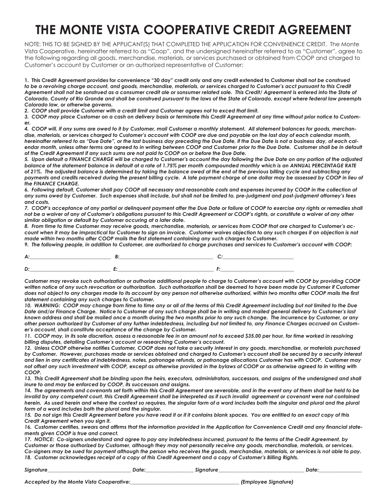### **THE MONTE VISTA COOPERATIVE CREDIT AGREEMENT**

NOTE: THIS TO BE SIGNED BY THE APPLICANT(S) THAT COMPLETED THE APPLICATION FOR CONVENIENCE CREDIT. The Monte Vista Cooperative, hereinafter referred to as "Coop", and the undersigned hereinafter referred to as "Customer", agree to the following regarding all goods, merchandise, materials, or services purchased or obtained from COOP and charged to Customer's account by Customer or an authorized representative of Customer:

**1. This Credit Agreement provides for convenience "30 day" credit only and any credit extended to Customer shall n***ot be construed to be a revolving charge account, and goods, merchandise, materials, or services charged to Customer's acct pursuant to this Credit*  Agreement shall not be sonstrued as a consumer credit ale or sonsumer related sale. This Credit/ Agreement is entered into the State of *Colorado, County of Rio Grande and shall be construed pursuant to the laws of the State of Colorado, except where federal law preempts Colorado law, or otherwise governs.*

*2. COOP shall provide Customer with a credit limit and Customer agrees not to exced that limit.*

*3. COOP may place Customer on a cash on delivery basis or terminate this Credit Agreement at any time without prior notice to Customer.* 

*4. COOP will, if any sums are owed to it by Customer, mail Customer a monthly statement. All statement balances for goods, merchandise, materials, or services charged to Customer's account with COOP are due and payable on the last day of each calendar month, hereinafter referred to as "Due Date", or the last business day preceding the Due Date, if the Due Date is not a business day, of each cal*endar month, unless other terms are agreed to in writing between COOP and Customer prior to the Due Date. Customer shall be in default *of the Credit Agreement if any such sums are not paid to COOP on or before the Due Date.* 

*5. Upon default a FINANCE CHARGE will be charged to Customer's account the day following the Due Date on any portion of the adjusted balance of the statement balance in default at a rate of 1.75% per month compounded monthly which is an ANNUAL PERCENTAGE RATE of 21%. The adjusted balance is determined by taking the balance owed at the end of the previous billing cycle and subtracting any*  payments and credits received during the present billing cycle. A late payment charge of one dollar may be assessed by COOP in lieu of *the FINANCE CHARGE.* 

*6. Following default, Customer shall pay COOP all necessary and reasonable costs and expenses incurred by COOP in the collection of any sums owed by Customer. Such expenses shall include, but shall not be limited to, pre-judgment and post-judgment attorney's fees and costs.* 

*7. COOP's acceptance of any partial or delinquent payment after the Due Date or failure of COOP to exercise any rights or remedies shall not be a waiver of any of Customer's obligations pursuant to this Credit Agreement or COOP's rights, or constitute a waiver of any other similar obligation or default by Customer occuring at a later date.* 

*8. From time to time Customer may receive goods, merchandise, materials, or services from COOP that are charged to Customer's account when it may be impractical for Customer to sign an invoice. Customer waives objection to any such charges if an objection is not made within two months after COOP mails the first statement containing any such charges to Customer.* 

*9. The following people, in addition to Customer, are authorized to charge purchases and services to Customer's account with COOP:*

*Customer may revoke such authorization or authorize additional people to charge to Customer's account with COOP by providing COOP*  written notice of any such revocation or authorization. Such authorization shall be deemed to have been made by Customer if Customer *does not object to any charges made to its account by any person not otherwise authorized, within two months after COOP mails the first statement containing any such charges to Customer.*

*10. WARNING: COOP may change from time to time any or all of the terms of this Credit Agreement including but not limited to the Due Date and/or Finance Charge. Notice to Customer of any such charge shall be in writing and mailed general delivery to Customer's last known address and shall be mailed once a month during the two months prior to any such change. The incurrence by Customer, or any other person authorized by Customer of any further indebtedness, including but not limited to, any Finance Charges accrued on Customer's account, shall constitute acceptance of the change by Customer.*

*11. COOP may, in its sole discretion, assess a reasonable fee in an amount not to exceed \$35.00 per hour, for time worked in resolving billing disputes, detailing Customer's account or researching Customer's account.*

*12. Unless COOP otherwise notifies Customer, COOP does not take a security interest in any goods, merchandise, or materials purchased by Customer. However, purchases made or services obtained and charged to Customer's account shall be secured by a security interest and lien in any certificates of indebtedness, notes, patronage refunds, or patronage allocations Customer has with COOP. Customer may not offset any such investment with COOP, except as otherwise provided in the bylaws of COOP or as otherwise agreed to in writing with COOP.*

*13. This Credit Agreement shall be binding upon the heirs, executors, administrators, successors, and assigns of the undersigned and shall inure to and may be enforced by COOP, its successors and assigns.* 

14. The agreements and covenants set forth within this Credit Agreement are severable, and in the event any of them shall be held to be *invalid by any competent court, this Credit Agreement shall be interpreted as if such invalid agreement or covenant were not contained herein. As used herein and where the context so requires, the singular form of a word includes both the singular and plural and the plural form of a word includes both the plural and the singular.* 

15. Do not sign this Credit Agreement before you have read it or if it contains blank spaces. You are entitled to an exact copy of this *Credit Agreement when you sign it.* 

*16. Customer certifies, swears and affirms that the information provided in the Application for Convenience Credit and any financial statements given COOP is true and correct.* 

*17. NOTICE: Co-signers understand and agree to pay any indebtedness incurred, pursuant to the terms of the Credit Agreement, by Customer or those authorized by Customer, although they may not personally receive any goods, merchandise, materials, or services. Co-signers may be sued for payment although the person who receives the goods, merchandise, materials, or services is not able to pay.* 

*18. Customer acknowledges receipt of a copy of this Credit Agreement and a copy of Customer's Billing Rights.*

| Sianatu |  | )ate |
|---------|--|------|
|         |  |      |

*Accepted by the Monte Vista Cooperative:\_\_\_\_\_\_\_\_\_\_\_\_\_\_\_\_\_\_\_\_\_\_\_\_\_\_\_\_\_\_\_\_\_\_\_\_\_\_\_\_\_\_\_ (Employee Signature)*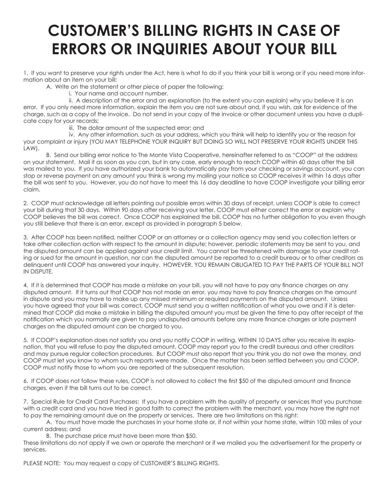# **CUSTOMER'S BILLING RIGHTS IN CASE OF ERRORS OR INQUIRIES ABOUT YOUR BILL**

1. If you want to preserve your rights under the Act, here is what to do if you think your bill is wrong or if you need more information about an item on your bill:

A. Write on the statement or other piece of paper the following:

i. Your name and account number.

 ii. A description of the error and an explanation (to the extent you can explain) why you believe it is an error. If you only need more information, explain the item you are not sure about and, if you wish, ask for evidence of the charge, such as a copy of the invoice. Do not send in your copy of the invoice or other document unless you have a duplicate copy for your records;

iii. The dollar amount of the suspected error; and

iv. Any other information, such as your address, which you think will help to identify you or the reason for your complaint or injury (YOU MAY TELEPHONE YOUR INQUIRY BUT DOING SO WILL NOT PRESERVE YOUR RIGHTS UNDER THIS LAW).

B. Send our billing error notice to The Monte Vista Cooperative, hereinafter referred to as "COOP" at the address on your statement. Mail it as soon as you can, but in any case, early enough to reach COOP within 60 days after the bill was mailed to you. If you have authorized your bank to automatically pay from your checking or savings account, you can stop or reverse payment on any amount you think is wrong my mailing your notice so COOP receives it within 16 days after the bill was sent to you. However, you do not have to meet this 16 day deadline to have COOP investigate your billing error claim.

2. COOP must acknowledge all letters pointing out possible errors within 30 days of receipt, unless COOP is able to correct your bill during that 30 days. Within 90 days after receiving your letter, COOP must either correct the error or explain why COOP believes the bill was correct. Once COOP has explained the bill, COOP has no further obligation to you even though you still believe that there is an error, except as provided in paragraph 5 below.

3. After COOP has been notified, neither COOP or an attorney or a collection agency may send you collection letters or take other collection action with respect to the amount in dispute; however, periodic statements may be sent to you, and the disputed amount can be applied against your credit limit. You cannot be threatened with damage to your credit rating or sued for the amount in question, nor can the disputed amount be reported to a credit bureau or to other creditors as delinquent until COOP has answered your inquiry. HOWEVER, YOU REMAIN OBLIGATED TO PAY THE PARTS OF YOUR BILL NOT IN DISPUTE.

4. If it is determined that COOP has made a mistake on your bill, you will not have to pay any finance charges on any disputed amount. If it turns out that COOP has not made an error, you may have to pay finance charges on the amount in dispute and you may have to make up any missed minimum or required payments on the disputed amount. Unless you have agreed that your bill was correct, COOP must send you a written notification of what you owe and if it is determined that COOP did make a mistake in billing the disputed amount you must be given the time to pay after receipt of the notification which you normally are given to pay undisputed amounts before any more finance charges or late payment charges on the disputed amount can be charged to you.

5. If COOP's explanation does not satisfy you and you notify COOP in writing, WITHIN 10 DAYS after you receive its explanation, that you will refuse to pay the disputed amount, COOP may report you to the credit bureaus and other creditors and may pursue regular collection procedures. But COOP must also report that you think you do not owe the money, and COOP must let you know to whom such reports were made. Once the matter has been settled between you and COOP, COOP must notify those to whom you are reported of the subsequent resolution.

6. If COOP does not follow these rules, COOP is not allowed to collect the first \$50 of the disputed amount and finance charges, even if the bill turns out to be correct.

7. Special Rule for Credit Card Purchases: If you have a problem with the quality of property or services that you purchase with a credit card and you have tried in good faith to correct the problem with the merchant, you may have the right not to pay the remaining amount due on the property or services. There are two limitations on this right:

A. You must have made the purchases in your home state or, if not within your home state, within 100 miles of your current address; and

B. The purchase price must have been more than \$50.

These limitations do not apply if we own or operate the merchant or if we mailed you the advertisement for the property or services.

PLEASE NOTE: You may request a copy of CUSTOMER'S BILLING RIGHTS.